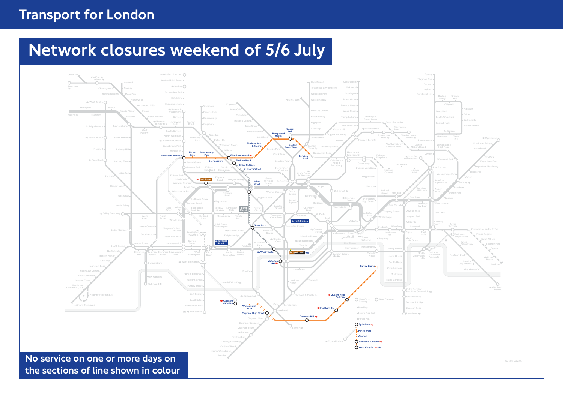# Transport for London

# Network closures weekend of 5/6 July

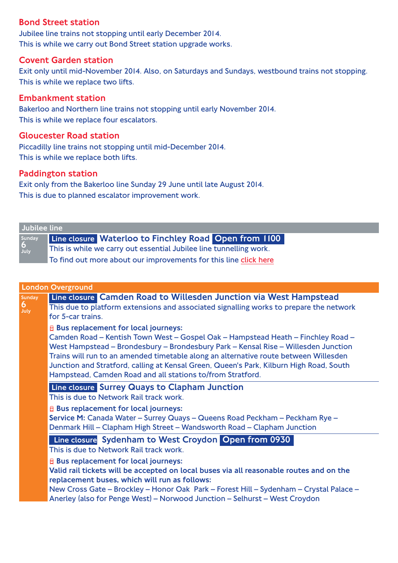### Bond Street station

Jubilee line trains not stopping until early December 2014. This is while we carry out Bond Street station upgrade works.

#### Covent Garden station

Exit only until mid-November 2014. Also, on Saturdays and Sundays, westbound trains not stopping. This is while we replace two lifts.

#### Embankment station

Bakerloo and Northern line trains not stopping until early November 2014. This is while we replace four escalators.

#### Gloucester Road station

Piccadilly line trains not stopping until mid-December 2014. This is while we replace both lifts.

#### Paddington station

Exit only from the Bakerloo line Sunday 29 June until late August 2014. This is due to planned escalator improvement work.

| Jubilee line        |                                                                    |
|---------------------|--------------------------------------------------------------------|
|                     | Line closure Waterloo to Finchley Road Open from 1100              |
| Sunday<br>6<br>July | This is while we carry out essential Jubilee line tunnelling work. |
|                     | To find out more about our improvements for this line click here   |

| <b>London Overground</b>                                                                                                                                                                                                                                                                                                                                                                                                                                                |  |
|-------------------------------------------------------------------------------------------------------------------------------------------------------------------------------------------------------------------------------------------------------------------------------------------------------------------------------------------------------------------------------------------------------------------------------------------------------------------------|--|
| Line closure Camden Road to Willesden Junction via West Hampstead<br>This due to platform extensions and associated signalling works to prepare the network<br>for 5-car trains.                                                                                                                                                                                                                                                                                        |  |
| <b>E</b> Bus replacement for local journeys:<br>Camden Road - Kentish Town West - Gospel Oak - Hampstead Heath - Finchley Road -<br>West Hampstead - Brondesbury - Brondesbury Park - Kensal Rise - Willesden Junction<br>Trains will run to an amended timetable along an alternative route between Willesden<br>Junction and Stratford, calling at Kensal Green, Queen's Park, Kilburn High Road, South<br>Hampstead, Camden Road and all stations to/from Stratford. |  |
| Line closure Surrey Quays to Clapham Junction<br>This is due to Network Rail track work.                                                                                                                                                                                                                                                                                                                                                                                |  |
| <b>E</b> Bus replacement for local journeys:<br>Service M: Canada Water – Surrey Quays – Queens Road Peckham – Peckham Rye –<br>Denmark Hill - Clapham High Street - Wandsworth Road - Clapham Junction                                                                                                                                                                                                                                                                 |  |
| Line closure Sydenham to West Croydon Open from 0930<br>This is due to Network Rail track work.                                                                                                                                                                                                                                                                                                                                                                         |  |
| <b>E</b> Bus replacement for local journeys:<br>Valid rail tickets will be accepted on local buses via all reasonable routes and on the<br>replacement buses, which will run as follows:<br>New Cross Gate - Brockley - Honor Oak Park - Forest Hill - Sydenham - Crystal Palace -<br>Anerley (also for Penge West) - Norwood Junction - Selhurst - West Croydon                                                                                                        |  |
|                                                                                                                                                                                                                                                                                                                                                                                                                                                                         |  |